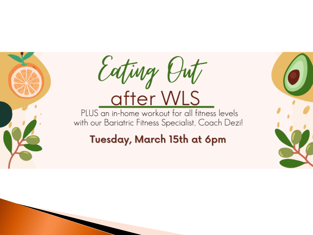



#### Tuesday, March 15th at 6pm

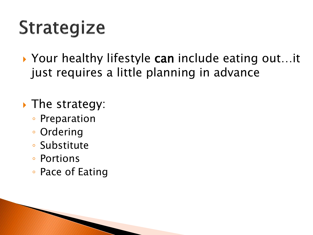## **Strategize**

▶ Your healthy lifestyle can include eating out...it just requires a little planning in advance

Ine strategy:

- Preparation
- Ordering
- Substitute
- Portions
- Pace of Eating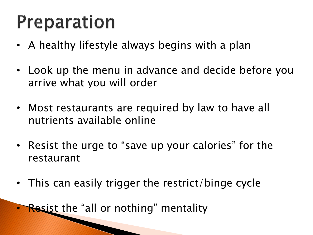## Preparation

- A healthy lifestyle always begins with a plan
- Look up the menu in advance and decide before you arrive what you will order
- Most restaurants are required by law to have all nutrients available online
- Resist the urge to "save up your calories" for the restaurant
- This can easily trigger the restrict/binge cycle
- **Resist the "all or nothing" mentality**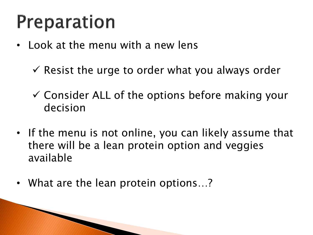## **Preparation**

- Look at the menu with a new lens
	- $\checkmark$  Resist the urge to order what you always order
	- $\checkmark$  Consider ALL of the options before making your decision
- If the menu is not online, you can likely assume that there will be a lean protein option and veggies available
- What are the lean protein options...?

**Rock Commencery**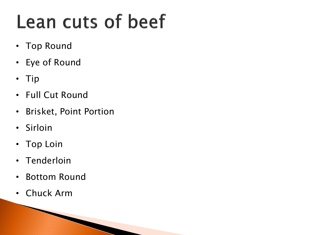## Lean cuts of beef

- Top Round
- Eye of Round
- Tip
- Full Cut Round
- Brisket, Point Portion
- Sirloin
- Top Loin
- Tenderloin
- Bottom Round
- Chuck Arm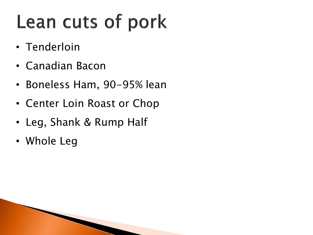## Lean cuts of pork

- Tenderloin
- Canadian Bacon
- Boneless Ham, 90-95% lean
- Center Loin Roast or Chop
- Leg, Shank & Rump Half
- Whole Leg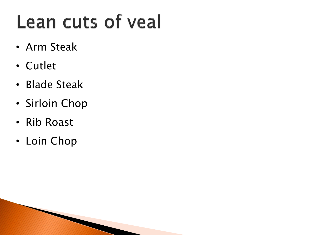## Lean cuts of yeal

- Arm Steak
- Cutlet
- Blade Steak
- Sirloin Chop
- Rib Roast
- Loin Chop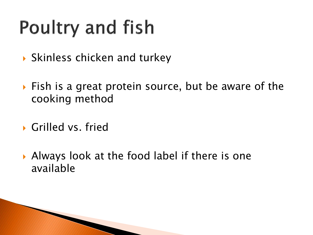## **Poultry and fish**

- ▶ Skinless chicken and turkey
- ▶ Fish is a great protein source, but be aware of the cooking method
- Grilled vs. fried
- Always look at the food label if there is one available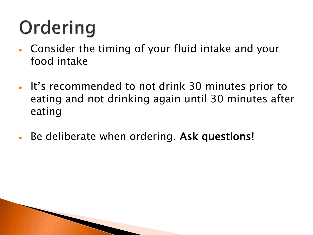# Ordering

**The Comment of Comment Comment Comment Comment Comment Comment Comment Comment Comment Comment Comment Comment** 

- Consider the timing of your fluid intake and your food intake
- It's recommended to not drink 30 minutes prior to eating and not drinking again until 30 minutes after eating
- Be deliberate when ordering. Ask questions!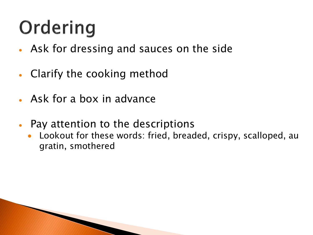# Ordering

- Ask for dressing and sauces on the side
- Clarify the cooking method
- Ask for a box in advance
- Pay attention to the descriptions
	- Lookout for these words: fried, breaded, crispy, scalloped, au gratin, smothered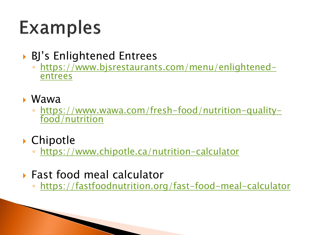## **Examples**

▶ BJ's Enlightened Entrees

- [https://www.bjsrestaurants.com/menu/enlightened](https://www.bjsrestaurants.com/menu/enlightened-entrees)entrees
- Wawa
	- [https://www.wawa.com/fresh-food/nutrition-quality](https://www.wawa.com/fresh-food/nutrition-quality-food/nutrition)food/nutrition
- ▶ Chipotle
	- <https://www.chipotle.ca/nutrition-calculator>
- Fast food meal calculator

**REAL PROPERTY** 

◦ <https://fastfoodnutrition.org/fast-food-meal-calculator>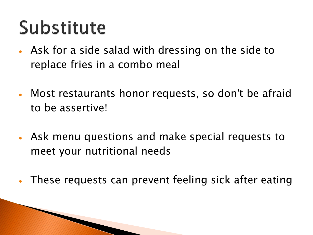## Substitute

**The Comment of Comment of Comment of Comment of Comment of Comment of Comment of Comment of Comment of Comment** 

- Ask for a side salad with dressing on the side to replace fries in a combo meal
- Most restaurants honor requests, so don't be afraid to be assertive!
- Ask menu questions and make special requests to meet your nutritional needs
- These requests can prevent feeling sick after eating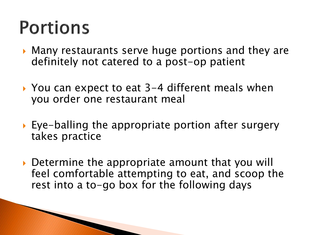### **Portions**

**The Comment of Comment of Comment of Comment of Comment of Comment of Comment of Comment of Comment of Comment of Comment of Comment of Comment of Comment of Comment of Comment of Comment of Comment of Comment of Comment** 

- ▶ Many restaurants serve huge portions and they are definitely not catered to a post-op patient
- ▶ You can expect to eat 3-4 different meals when you order one restaurant meal
- Eye-balling the appropriate portion after surgery takes practice
- ▶ Determine the appropriate amount that you will feel comfortable attempting to eat, and scoop the rest into a to-go box for the following days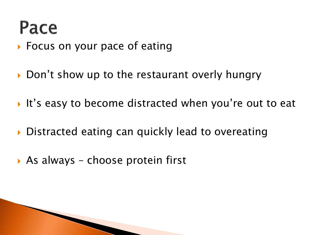#### Pace

- ▶ Focus on your pace of eating
- ▶ Don't show up to the restaurant overly hungry
- It's easy to become distracted when you're out to eat
- ▶ Distracted eating can quickly lead to overeating
- ▶ As always choose protein first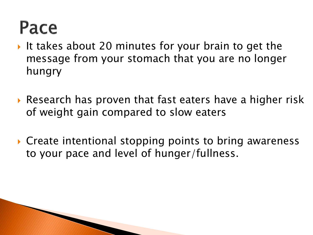#### Pace

- It takes about 20 minutes for your brain to get the message from your stomach that you are no longer hungry
- ▶ Research has proven that fast eaters have a higher risk of weight gain compared to slow eaters
- ▶ Create intentional stopping points to bring awareness to your pace and level of hunger/fullness.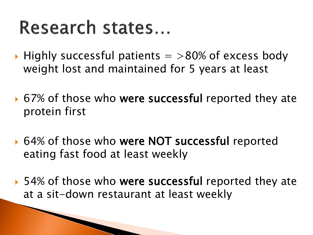#### Research states...

**The Common Seconds** 

- $\blacktriangleright$  Highly successful patients  $=$  >80% of excess body weight lost and maintained for 5 years at least
- $\triangleright$  67% of those who were successful reported they ate protein first
- ▶ 64% of those who were NOT successful reported eating fast food at least weekly
- ▶ 54% of those who were successful reported they ate at a sit-down restaurant at least weekly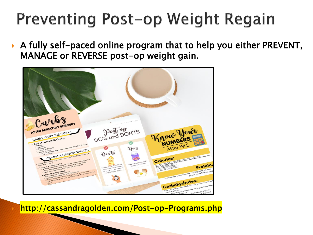#### **Preventing Post-op Weight Regain**

 A fully self-paced online program that to help you either PREVENT, MANAGE or REVERSE post-op weight gain.



http://cassandragolden.com/Post-op-Programs.php